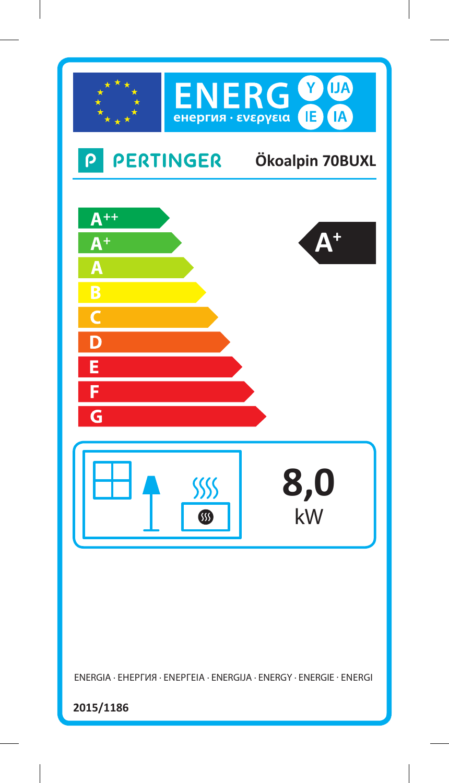

ENERGIA · ЕНЕРГИЯ · ΕΝΕΡΓΕΙΑ · ENERGIJA · ENERGY · ENERGIE · ENERGI

**2015/1186**